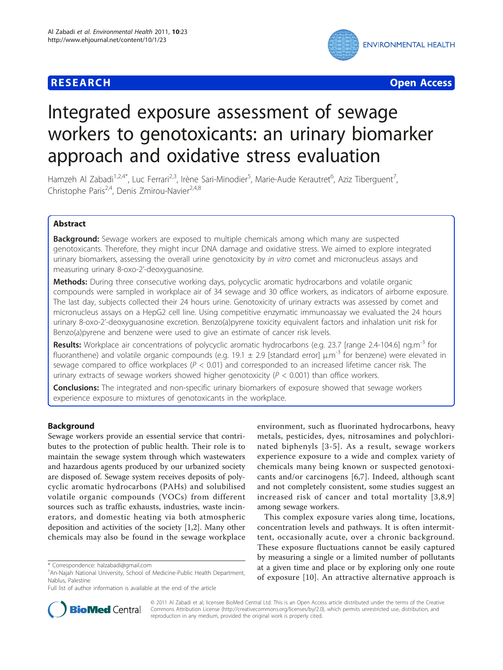

**RESEARCH CONTROL** CONTROL CONTROL CONTROL CONTROL CONTROL CONTROL CONTROL CONTROL CONTROL CONTROL CONTROL CONTROL

# Integrated exposure assessment of sewage workers to genotoxicants: an urinary biomarker approach and oxidative stress evaluation

Hamzeh Al Zabadi<sup>1,2,4\*</sup>, Luc Ferrari<sup>2,3</sup>, Irène Sari-Minodier<sup>5</sup>, Marie-Aude Kerautret<sup>6</sup>, Aziz Tiberguent<sup>7</sup> , Christophe Paris<sup>2,4</sup>, Denis Zmirou-Navier<sup>2,4,8</sup>

# Abstract

**Background:** Sewage workers are exposed to multiple chemicals among which many are suspected genotoxicants. Therefore, they might incur DNA damage and oxidative stress. We aimed to explore integrated urinary biomarkers, assessing the overall urine genotoxicity by in vitro comet and micronucleus assays and measuring urinary 8-oxo-2'-deoxyguanosine.

Methods: During three consecutive working days, polycyclic aromatic hydrocarbons and volatile organic compounds were sampled in workplace air of 34 sewage and 30 office workers, as indicators of airborne exposure. The last day, subjects collected their 24 hours urine. Genotoxicity of urinary extracts was assessed by comet and micronucleus assays on a HepG2 cell line. Using competitive enzymatic immunoassay we evaluated the 24 hours urinary 8-oxo-2'-deoxyguanosine excretion. Benzo(a)pyrene toxicity equivalent factors and inhalation unit risk for Benzo(a)pyrene and benzene were used to give an estimate of cancer risk levels.

Results: Workplace air concentrations of polycyclic aromatic hydrocarbons (e.g. 23.7 [range 2.4-104.6] ng.m<sup>-3</sup> for fluoranthene) and volatile organic compounds (e.g. 19.1  $\pm$  2.9 [standard error] μ.m<sup>-3</sup> for benzene) were elevated in sewage compared to office workplaces ( $P < 0.01$ ) and corresponded to an increased lifetime cancer risk. The urinary extracts of sewage workers showed higher genotoxicity ( $P < 0.001$ ) than office workers.

**Conclusions:** The integrated and non-specific urinary biomarkers of exposure showed that sewage workers experience exposure to mixtures of genotoxicants in the workplace.

# Background

Sewage workers provide an essential service that contributes to the protection of public health. Their role is to maintain the sewage system through which wastewaters and hazardous agents produced by our urbanized society are disposed of. Sewage system receives deposits of polycyclic aromatic hydrocarbons (PAHs) and solubilised volatile organic compounds (VOCs) from different sources such as traffic exhausts, industries, waste incinerators, and domestic heating via both atmospheric deposition and activities of the society [[1,2\]](#page-12-0). Many other chemicals may also be found in the sewage workplace

environment, such as fluorinated hydrocarbons, heavy metals, pesticides, dyes, nitrosamines and polychlorinated biphenyls [[3](#page-12-0)-[5\]](#page-12-0). As a result, sewage workers experience exposure to a wide and complex variety of chemicals many being known or suspected genotoxicants and/or carcinogens [\[6](#page-12-0),[7\]](#page-12-0). Indeed, although scant and not completely consistent, some studies suggest an increased risk of cancer and total mortality [[3](#page-12-0),[8](#page-12-0),[9](#page-12-0)] among sewage workers.

This complex exposure varies along time, locations, concentration levels and pathways. It is often intermittent, occasionally acute, over a chronic background. These exposure fluctuations cannot be easily captured by measuring a single or a limited number of pollutants at a given time and place or by exploring only one route of exposure [[10](#page-12-0)]. An attractive alternative approach is



© 2011 Al Zabadi et al; licensee BioMed Central Ltd. This is an Open Access article distributed under the terms of the Creative Commons Attribution License [\(http://creativecommons.org/licenses/by/2.0](http://creativecommons.org/licenses/by/2.0)), which permits unrestricted use, distribution, and reproduction in any medium, provided the original work is properly cited.

<sup>\*</sup> Correspondence: [halzabadi@gmail.com](mailto:halzabadi@gmail.com)

<sup>&</sup>lt;sup>1</sup> An-Najah National University, School of Medicine-Public Health Department, Nablus, Palestine

Full list of author information is available at the end of the article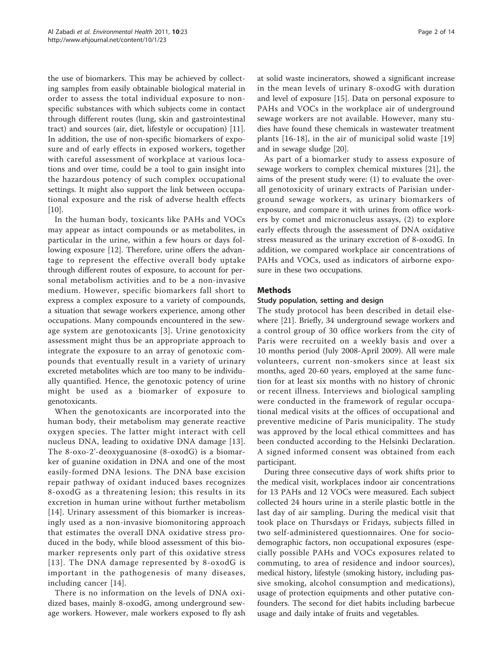the use of biomarkers. This may be achieved by collecting samples from easily obtainable biological material in order to assess the total individual exposure to nonspecific substances with which subjects come in contact through different routes (lung, skin and gastrointestinal tract) and sources (air, diet, lifestyle or occupation) [\[11](#page-12-0)]. In addition, the use of non-specific biomarkers of exposure and of early effects in exposed workers, together with careful assessment of workplace at various locations and over time, could be a tool to gain insight into the hazardous potency of such complex occupational settings. It might also support the link between occupational exposure and the risk of adverse health effects  $[10]$  $[10]$ .

In the human body, toxicants like PAHs and VOCs may appear as intact compounds or as metabolites, in particular in the urine, within a few hours or days following exposure [[12\]](#page-12-0). Therefore, urine offers the advantage to represent the effective overall body uptake through different routes of exposure, to account for personal metabolism activities and to be a non-invasive medium. However, specific biomarkers fall short to express a complex exposure to a variety of compounds, a situation that sewage workers experience, among other occupations. Many compounds encountered in the sewage system are genotoxicants [\[3\]](#page-12-0). Urine genotoxicity assessment might thus be an appropriate approach to integrate the exposure to an array of genotoxic compounds that eventually result in a variety of urinary excreted metabolites which are too many to be individually quantified. Hence, the genotoxic potency of urine might be used as a biomarker of exposure to genotoxicants.

When the genotoxicants are incorporated into the human body, their metabolism may generate reactive oxygen species. The latter might interact with cell nucleus DNA, leading to oxidative DNA damage [[13\]](#page-12-0). The 8-oxo-2'-deoxyguanosine (8-oxodG) is a biomarker of guanine oxidation in DNA and one of the most easily-formed DNA lesions. The DNA base excision repair pathway of oxidant induced bases recognizes 8-oxodG as a threatening lesion; this results in its excretion in human urine without further metabolism [[14](#page-12-0)]. Urinary assessment of this biomarker is increasingly used as a non-invasive biomonitoring approach that estimates the overall DNA oxidative stress produced in the body, while blood assessment of this biomarker represents only part of this oxidative stress [[13](#page-12-0)]. The DNA damage represented by 8-oxodG is important in the pathogenesis of many diseases, including cancer [[14](#page-12-0)].

There is no information on the levels of DNA oxidized bases, mainly 8-oxodG, among underground sewage workers. However, male workers exposed to fly ash at solid waste incinerators, showed a significant increase in the mean levels of urinary 8-oxodG with duration and level of exposure [[15](#page-12-0)]. Data on personal exposure to PAHs and VOCs in the workplace air of underground sewage workers are not available. However, many studies have found these chemicals in wastewater treatment plants [[16](#page-12-0)-[18](#page-12-0)], in the air of municipal solid waste [\[19](#page-13-0)] and in sewage sludge [[20\]](#page-13-0).

As part of a biomarker study to assess exposure of sewage workers to complex chemical mixtures [[21\]](#page-13-0), the aims of the present study were: (1) to evaluate the overall genotoxicity of urinary extracts of Parisian underground sewage workers, as urinary biomarkers of exposure, and compare it with urines from office workers by comet and micronucleus assays, (2) to explore early effects through the assessment of DNA oxidative stress measured as the urinary excretion of 8-oxodG. In addition, we compared workplace air concentrations of PAHs and VOCs, used as indicators of airborne exposure in these two occupations.

## Methods

#### Study population, setting and design

The study protocol has been described in detail elsewhere [[21\]](#page-13-0). Briefly, 34 underground sewage workers and a control group of 30 office workers from the city of Paris were recruited on a weekly basis and over a 10 months period (July 2008-April 2009). All were male volunteers, current non-smokers since at least six months, aged 20-60 years, employed at the same function for at least six months with no history of chronic or recent illness. Interviews and biological sampling were conducted in the framework of regular occupational medical visits at the offices of occupational and preventive medicine of Paris municipality. The study was approved by the local ethical committees and has been conducted according to the Helsinki Declaration. A signed informed consent was obtained from each participant.

During three consecutive days of work shifts prior to the medical visit, workplaces indoor air concentrations for 13 PAHs and 12 VOCs were measured. Each subject collected 24 hours urine in a sterile plastic bottle in the last day of air sampling. During the medical visit that took place on Thursdays or Fridays, subjects filled in two self-administered questionnaires. One for sociodemographic factors, non occupational exposures (especially possible PAHs and VOCs exposures related to commuting, to area of residence and indoor sources), medical history, lifestyle (smoking history, including passive smoking, alcohol consumption and medications), usage of protection equipments and other putative confounders. The second for diet habits including barbecue usage and daily intake of fruits and vegetables.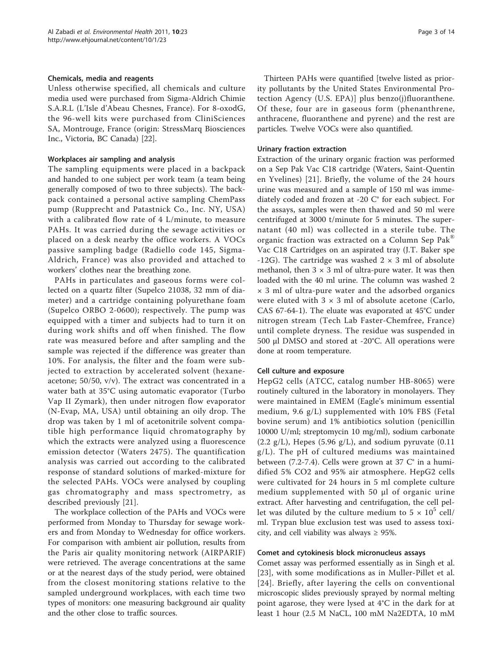#### Chemicals, media and reagents

Unless otherwise specified, all chemicals and culture media used were purchased from Sigma-Aldrich Chimie S.A.R.L (L'Isle d'Abeau Chesnes, France). For 8-oxodG, the 96-well kits were purchased from CliniSciences SA, Montrouge, France (origin: StressMarq Biosciences Inc., Victoria, BC Canada) [[22](#page-13-0)].

#### Workplaces air sampling and analysis

The sampling equipments were placed in a backpack and handed to one subject per work team (a team being generally composed of two to three subjects). The backpack contained a personal active sampling ChemPass pump (Rupprecht and Patastnick Co., Inc. NY, USA) with a calibrated flow rate of 4 L/minute, to measure PAHs. It was carried during the sewage activities or placed on a desk nearby the office workers. A VOCs passive sampling badge (Radiello code 145, Sigma-Aldrich, France) was also provided and attached to workers' clothes near the breathing zone.

PAHs in particulates and gaseous forms were collected on a quartz filter (Supelco 21038, 32 mm of diameter) and a cartridge containing polyurethane foam (Supelco ORBO 2-0600); respectively. The pump was equipped with a timer and subjects had to turn it on during work shifts and off when finished. The flow rate was measured before and after sampling and the sample was rejected if the difference was greater than 10%. For analysis, the filter and the foam were subjected to extraction by accelerated solvent (hexaneacetone; 50/50, v/v). The extract was concentrated in a water bath at 35°C using automatic evaporator (Turbo Vap II Zymark), then under nitrogen flow evaporator (N-Evap, MA, USA) until obtaining an oily drop. The drop was taken by 1 ml of acetonitrile solvent compatible high performance liquid chromatography by which the extracts were analyzed using a fluorescence emission detector (Waters 2475). The quantification analysis was carried out according to the calibrated response of standard solutions of marked-mixture for the selected PAHs. VOCs were analysed by coupling gas chromatography and mass spectrometry, as described previously [\[21](#page-13-0)].

The workplace collection of the PAHs and VOCs were performed from Monday to Thursday for sewage workers and from Monday to Wednesday for office workers. For comparison with ambient air pollution, results from the Paris air quality monitoring network (AIRPARIF) were retrieved. The average concentrations at the same or at the nearest days of the study period, were obtained from the closest monitoring stations relative to the sampled underground workplaces, with each time two types of monitors: one measuring background air quality and the other close to traffic sources.

Thirteen PAHs were quantified [twelve listed as priority pollutants by the United States Environmental Protection Agency (U.S. EPA)] plus benzo(j)fluoranthene. Of these, four are in gaseous form (phenanthrene, anthracene, fluoranthene and pyrene) and the rest are particles. Twelve VOCs were also quantified.

#### Urinary fraction extraction

Extraction of the urinary organic fraction was performed on a Sep Pak Vac C18 cartridge (Waters, Saint-Quentin en Yvelines) [[21](#page-13-0)]. Briefly, the volume of the 24 hours urine was measured and a sample of 150 ml was immediately coded and frozen at -20 C° for each subject. For the assays, samples were then thawed and 50 ml were centrifuged at 3000 t/minute for 5 minutes. The supernatant (40 ml) was collected in a sterile tube. The organic fraction was extracted on a Column Sep Pak® Vac C18 Cartridges on an aspirated tray (J.T. Baker spe -12G). The cartridge was washed  $2 \times 3$  ml of absolute methanol, then  $3 \times 3$  ml of ultra-pure water. It was then loaded with the 40 ml urine. The column was washed 2  $\times$  3 ml of ultra-pure water and the adsorbed organics were eluted with  $3 \times 3$  ml of absolute acetone (Carlo, CAS 67-64-1). The eluate was evaporated at 45°C under nitrogen stream (Tech Lab Faster-Chemfree, France) until complete dryness. The residue was suspended in 500 μl DMSO and stored at -20°C. All operations were done at room temperature.

#### Cell culture and exposure

HepG2 cells (ATCC, catalog number HB-8065) were routinely cultured in the laboratory in monolayers. They were maintained in EMEM (Eagle's minimum essential medium, 9.6 g/L) supplemented with 10% FBS (Fetal bovine serum) and 1% antibiotics solution (penicillin 10000 U/ml; streptomycin 10 mg/ml), sodium carbonate  $(2.2 \text{ g/L})$ , Hepes  $(5.96 \text{ g/L})$ , and sodium pyruvate  $(0.11 \text{ m})$ g/L). The pH of cultured mediums was maintained between (7.2-7.4). Cells were grown at 37 C° in a humidified 5% CO2 and 95% air atmosphere. HepG2 cells were cultivated for 24 hours in 5 ml complete culture medium supplemented with 50 μl of organic urine extract. After harvesting and centrifugation, the cell pellet was diluted by the culture medium to  $5 \times 10^5$  cell/ ml. Trypan blue exclusion test was used to assess toxicity, and cell viability was always  $\geq$  95%.

#### Comet and cytokinesis block micronucleus assays

Comet assay was performed essentially as in Singh et al. [[23](#page-13-0)], with some modifications as in Muller-Pillet et al. [[24\]](#page-13-0). Briefly, after layering the cells on conventional microscopic slides previously sprayed by normal melting point agarose, they were lysed at 4°C in the dark for at least 1 hour (2.5 M NaCL, 100 mM Na2EDTA, 10 mM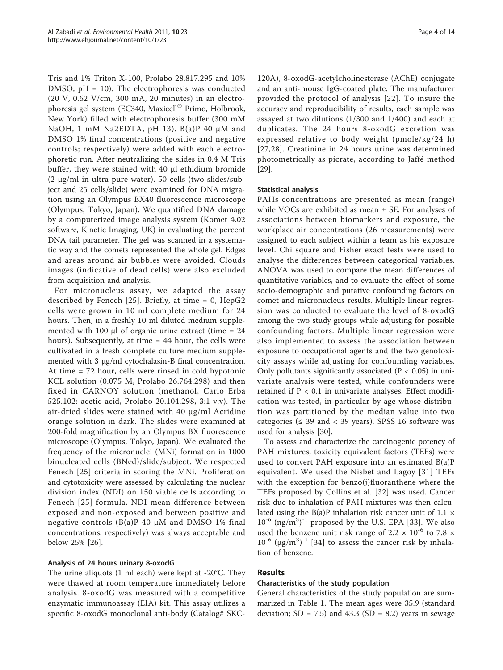Tris and 1% Triton X-100, Prolabo 28.817.295 and 10% DMSO, pH = 10). The electrophoresis was conducted (20 V, 0.62 V/cm, 300 mA, 20 minutes) in an electrophoresis gel system (EC340, Maxicell® Primo, Holbrook, New York) filled with electrophoresis buffer (300 mM NaOH, 1 mM Na2EDTA, pH 13). B(a)P 40 μM and DMSO 1% final concentrations (positive and negative controls; respectively) were added with each electrophoretic run. After neutralizing the slides in 0.4 M Tris buffer, they were stained with 40 μl ethidium bromide (2 μg/ml in ultra-pure water). 50 cells (two slides/subject and 25 cells/slide) were examined for DNA migration using an Olympus BX40 fluorescence microscope (Olympus, Tokyo, Japan). We quantified DNA damage by a computerized image analysis system (Komet 4.02 software, Kinetic Imaging, UK) in evaluating the percent DNA tail parameter. The gel was scanned in a systematic way and the comets represented the whole gel. Edges and areas around air bubbles were avoided. Clouds images (indicative of dead cells) were also excluded from acquisition and analysis.

For micronucleus assay, we adapted the assay described by Fenech [[25](#page-13-0)]. Briefly, at time  $= 0$ , HepG2 cells were grown in 10 ml complete medium for 24 hours. Then, in a freshly 10 ml diluted medium supplemented with 100  $\mu$ l of organic urine extract (time = 24 hours). Subsequently, at time = 44 hour, the cells were cultivated in a fresh complete culture medium supplemented with 3 μg/ml cytochalasin-B final concentration. At time = 72 hour, cells were rinsed in cold hypotonic KCL solution (0.075 M, Prolabo 26.764.298) and then fixed in CARNOY solution (methanol, Carlo Erba 525.102: acetic acid, Prolabo 20.104.298, 3:1 v:v). The air-dried slides were stained with 40 μg/ml Acridine orange solution in dark. The slides were examined at 200-fold magnification by an Olympus BX fluorescence microscope (Olympus, Tokyo, Japan). We evaluated the frequency of the micronuclei (MNi) formation in 1000 binucleated cells (BNed)/slide/subject. We respected Fenech [\[25\]](#page-13-0) criteria in scoring the MNi. Proliferation and cytotoxicity were assessed by calculating the nuclear division index (NDI) on 150 viable cells according to Fenech [[25](#page-13-0)] formula. NDI mean difference between exposed and non-exposed and between positive and negative controls  $(B(a)P 40 \mu M$  and DMSO 1% final concentrations; respectively) was always acceptable and below 25% [[26\]](#page-13-0).

#### Analysis of 24 hours urinary 8-oxodG

The urine aliquots (1 ml each) were kept at -20°C. They were thawed at room temperature immediately before analysis. 8-oxodG was measured with a competitive enzymatic immunoassay (EIA) kit. This assay utilizes a specific 8-oxodG monoclonal anti-body (Catalog# SKC-

120A), 8-oxodG-acetylcholinesterase (AChE) conjugate and an anti-mouse IgG-coated plate. The manufacturer provided the protocol of analysis [[22\]](#page-13-0). To insure the accuracy and reproducibility of results, each sample was assayed at two dilutions (1/300 and 1/400) and each at duplicates. The 24 hours 8-oxodG excretion was expressed relative to body weight (pmole/kg/24 h) [[27,28](#page-13-0)]. Creatinine in 24 hours urine was determined photometrically as picrate, according to Jaffé method [[29\]](#page-13-0).

## Statistical analysis

PAHs concentrations are presented as mean (range) while VOCs are exhibited as mean ± SE. For analyses of associations between biomarkers and exposure, the workplace air concentrations (26 measurements) were assigned to each subject within a team as his exposure level. Chi square and Fisher exact tests were used to analyse the differences between categorical variables. ANOVA was used to compare the mean differences of quantitative variables, and to evaluate the effect of some socio-demographic and putative confounding factors on comet and micronucleus results. Multiple linear regression was conducted to evaluate the level of 8-oxodG among the two study groups while adjusting for possible confounding factors. Multiple linear regression were also implemented to assess the association between exposure to occupational agents and the two genotoxicity assays while adjusting for confounding variables. Only pollutants significantly associated ( $P < 0.05$ ) in univariate analysis were tested, while confounders were retained if  $P < 0.1$  in univariate analyses. Effect modification was tested, in particular by age whose distribution was partitioned by the median value into two categories ( $\leq$  39 and  $<$  39 years). SPSS 16 software was used for analysis [[30\]](#page-13-0).

To assess and characterize the carcinogenic potency of PAH mixtures, toxicity equivalent factors (TEFs) were used to convert PAH exposure into an estimated B(a)P equivalent. We used the Nisbet and Lagoy [[31\]](#page-13-0) TEFs with the exception for benzo(j)fluoranthene where the TEFs proposed by Collins et al. [\[32\]](#page-13-0) was used. Cancer risk due to inhalation of PAH mixtures was then calculated using the B(a)P inhalation risk cancer unit of 1.1  $\times$  $10^{-6}$  (ng/m<sup>3</sup>)<sup>-1</sup> proposed by the U.S. EPA [\[33](#page-13-0)]. We also used the benzene unit risk range of 2.2  $\times$  10<sup>-6</sup> to 7.8  $\times$  $10^{-6}$  ( $\mu$ g/m<sup>3</sup>)<sup>-1</sup> [[34\]](#page-13-0) to assess the cancer risk by inhalation of benzene.

# Results

#### Characteristics of the study population

General characteristics of the study population are summarized in Table [1](#page-4-0). The mean ages were 35.9 (standard deviation;  $SD = 7.5$ ) and  $43.3$  ( $SD = 8.2$ ) years in sewage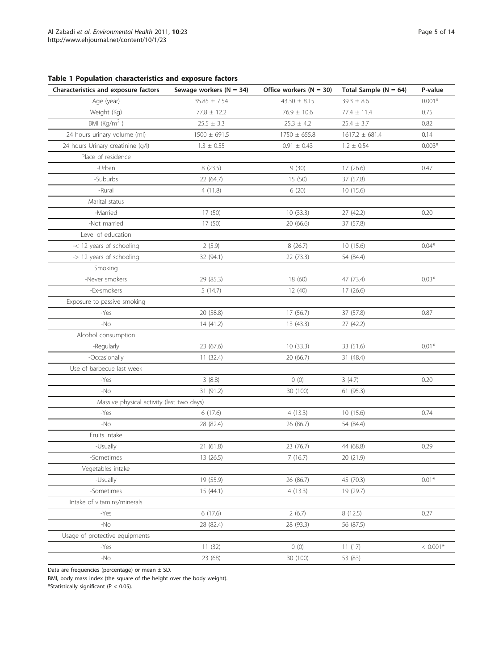<span id="page-4-0"></span>

|  |  |  | Table 1 Population characteristics and exposure factors |  |  |  |
|--|--|--|---------------------------------------------------------|--|--|--|
|--|--|--|---------------------------------------------------------|--|--|--|

| Characteristics and exposure factors      | Sewage workers ( $N = 34$ ) | Office workers $(N = 30)$ | Total Sample ( $N = 64$ ) | P-value    |
|-------------------------------------------|-----------------------------|---------------------------|---------------------------|------------|
| Age (year)                                | $35.85 \pm 7.54$            | $43.30 \pm 8.15$          | $39.3 \pm 8.6$            | $0.001*$   |
| Weight (Kg)                               | $77.8 \pm 12.2$             | $76.9 \pm 10.6$           | $77.4 \pm 11.4$           | 0.75       |
| BMI $(Kq/m2)$                             | $25.5 \pm 3.3$              | $25.3 \pm 4.2$            | $25.4 \pm 3.7$            | 0.82       |
| 24 hours urinary volume (ml)              | $1500 \pm 691.5$            | $1750 \pm 655.8$          | $1617.2 \pm 681.4$        | 0.14       |
| 24 hours Urinary creatinine (g/l)         | $1.3 \pm 0.55$              | $0.91 \pm 0.43$           | $1.2 \pm 0.54$            | $0.003*$   |
| Place of residence                        |                             |                           |                           |            |
| -Urban                                    | 8 (23.5)                    | 9(30)                     | 17 (26.6)                 | 0.47       |
| -Suburbs                                  | 22 (64.7)                   | 15(50)                    | 37 (57.8)                 |            |
| -Rural                                    | 4(11.8)                     | 6(20)                     | 10(15.6)                  |            |
| Marital status                            |                             |                           |                           |            |
| -Married                                  | 17 (50)                     | 10 (33.3)                 | 27 (42.2)                 | 0.20       |
| -Not married                              | 17 (50)                     | 20 (66.6)                 | 37 (57.8)                 |            |
| Level of education                        |                             |                           |                           |            |
| -< 12 years of schooling                  | 2(5.9)                      | 8(26.7)                   | 10(15.6)                  | $0.04*$    |
| -> 12 years of schooling                  | 32 (94.1)                   | 22 (73.3)                 | 54 (84.4)                 |            |
| Smoking                                   |                             |                           |                           |            |
| -Never smokers                            | 29 (85.3)                   | 18 (60)                   | 47 (73.4)                 | $0.03*$    |
| -Ex-smokers                               | 5(14.7)                     | 12 (40)                   | 17(26.6)                  |            |
| Exposure to passive smoking               |                             |                           |                           |            |
| -Yes                                      | 20 (58.8)                   | 17 (56.7)                 | 37 (57.8)                 | 0.87       |
| $-NO$                                     | 14 (41.2)                   | 13 (43.3)                 | 27 (42.2)                 |            |
| Alcohol consumption                       |                             |                           |                           |            |
| -Regularly                                | 23 (67.6)                   | 10(33.3)                  | 33 (51.6)                 | $0.01*$    |
| -Occasionally                             | 11(32.4)                    | 20 (66.7)                 | 31 (48.4)                 |            |
| Use of barbecue last week                 |                             |                           |                           |            |
| -Yes                                      | 3(8.8)                      | 0(0)                      | 3(4.7)                    | 0.20       |
| $-NO$                                     | 31 (91.2)                   | 30 (100)                  | 61(95.3)                  |            |
| Massive physical activity (last two days) |                             |                           |                           |            |
| -Yes                                      | 6(17.6)                     | 4(13.3)                   | 10(15.6)                  | 0.74       |
| -No                                       | 28 (82.4)                   | 26 (86.7)                 | 54 (84.4)                 |            |
| Fruits intake                             |                             |                           |                           |            |
| -Usually                                  | 21 (61.8)                   | 23 (76.7)                 | 44 (68.8)                 | 0.29       |
| -Sometimes                                | 13 (26.5)                   | 7(16.7)                   | 20 (21.9)                 |            |
| Vegetables intake                         |                             |                           |                           |            |
| -Usually                                  | 19 (55.9)                   | 26 (86.7)                 | 45 (70.3)                 | $0.01*$    |
| -Sometimes                                | 15 (44.1)                   | 4(13.3)                   | 19 (29.7)                 |            |
| Intake of vitamins/minerals               |                             |                           |                           |            |
| -Yes                                      | 6(17.6)                     | 2(6.7)                    | 8 (12.5)                  | 0.27       |
| $-NO$                                     | 28 (82.4)                   | 28 (93.3)                 | 56 (87.5)                 |            |
| Usage of protective equipments            |                             |                           |                           |            |
| -Yes                                      | 11(32)                      | 0(0)                      | 11(17)                    | $< 0.001*$ |
| $-NO$                                     | 23 (68)                     | 30 (100)                  | 53 (83)                   |            |

Data are frequencies (percentage) or mean  $\pm$  SD.

BMI, body mass index (the square of the height over the body weight).

\*Statistically significant (P < 0.05).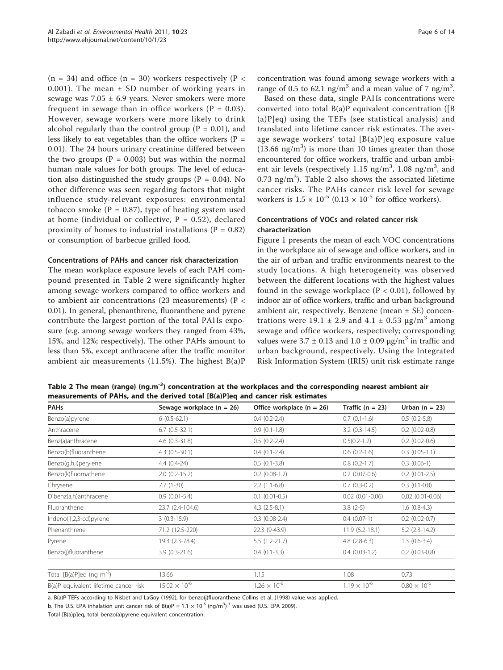<span id="page-5-0"></span> $(n = 34)$  and office  $(n = 30)$  workers respectively  $(P <$ 0.001). The mean  $\pm$  SD number of working years in sewage was  $7.05 \pm 6.9$  years. Never smokers were more frequent in sewage than in office workers ( $P = 0.03$ ). However, sewage workers were more likely to drink alcohol regularly than the control group ( $P = 0.01$ ), and less likely to eat vegetables than the office workers ( $P =$ 0.01). The 24 hours urinary creatinine differed between the two groups ( $P = 0.003$ ) but was within the normal human male values for both groups. The level of education also distinguished the study groups ( $P = 0.04$ ). No other difference was seen regarding factors that might influence study-relevant exposures: environmental tobacco smoke ( $P = 0.87$ ), type of heating system used at home (individual or collective,  $P = 0.52$ ), declared proximity of homes to industrial installations  $(P = 0.82)$ or consumption of barbecue grilled food.

#### Concentrations of PAHs and cancer risk characterization

The mean workplace exposure levels of each PAH compound presented in Table 2 were significantly higher among sewage workers compared to office workers and to ambient air concentrations (23 measurements) ( $P <$ 0.01). In general, phenanthrene, fluoranthene and pyrene contribute the largest portion of the total PAHs exposure (e.g. among sewage workers they ranged from 43%, 15%, and 12%; respectively). The other PAHs amount to less than 5%, except anthracene after the traffic monitor ambient air measurements  $(11.5\%)$ . The highest  $B(a)P$  concentration was found among sewage workers with a range of 0.5 to 62.1 ng/m<sup>3</sup> and a mean value of 7 ng/m<sup>3</sup>.

Based on these data, single PAHs concentrations were converted into total  $B(a)P$  equivalent concentration ([B] (a)P]eq) using the TEFs (see statistical analysis) and translated into lifetime cancer risk estimates. The average sewage workers' total [B(a)P]eq exposure value  $(13.66 \text{ ng/m}^3)$  is more than 10 times greater than those encountered for office workers, traffic and urban ambient air levels (respectively  $1.15$  ng/m<sup>3</sup>,  $1.08$  ng/m<sup>3</sup>, and  $0.73 \text{ ng/m}^3$ ). Table 2 also shows the associated lifetime cancer risks. The PAHs cancer risk level for sewage workers is  $1.5 \times 10^{-5}$  (0.13  $\times 10^{-5}$  for office workers).

# Concentrations of VOCs and related cancer risk characterization

Figure [1](#page-6-0) presents the mean of each VOC concentrations in the workplace air of sewage and office workers, and in the air of urban and traffic environments nearest to the study locations. A high heterogeneity was observed between the different locations with the highest values found in the sewage workplace  $(P < 0.01)$ , followed by indoor air of office workers, traffic and urban background ambient air, respectively. Benzene (mean ± SE) concentrations were 19.1  $\pm$  2.9 and 4.1  $\pm$  0.53  $\mu$ g/m<sup>3</sup> among sewage and office workers, respectively; corresponding values were  $3.7 \pm 0.13$  and  $1.0 \pm 0.09$   $\mu$ g/m<sup>3</sup> in traffic and urban background, respectively. Using the Integrated Risk Information System (IRIS) unit risk estimate range

Table 2 The mean (range) (ng.m<sup>-3</sup>) concentration at the workplaces and the corresponding nearest ambient air measurements of PAHs, and the derived total [B(a)P]eq and cancer risk estimates

| <b>PAHs</b>                              | Sewage workplace $(n = 26)$ | Office workplace $(n = 26)$ | Traffic $(n = 23)$     | Urban $(n = 23)$       |
|------------------------------------------|-----------------------------|-----------------------------|------------------------|------------------------|
| Benzo(a)pyrene                           | $6(0.5-62.1)$               | $0.4(0.2-2.4)$              | $0.7(0.1-1.6)$         | $0.5(0.2-5.8)$         |
| Anthracene                               | $6.7(0.5-32.1)$             | $0.9(0.1-1.8)$              | $3.2$ (0.3-14.5)       | $0.2$ (0.02-0.8)       |
| Benz(a)anthracene                        | $4.6$ $(0.3 - 31.8)$        | $0.5(0.2-2.4)$              | $0.5(0.2 - 1.2)$       | $0.2$ (0.02-0.6)       |
| Benzo(b)fluoranthene                     | $4.3(0.5-30.1)$             | $0.4(0.1-2.4)$              | $0.6$ $(0.2-1.6)$      | $0.3$ $(0.05-1.1)$     |
| Benzo(g,h,i)perylene                     | $4.4(0.4-24)$               | $0.5(0.1-3.8)$              | $0.8$ $(0.2-1.7)$      | $0.3(0.06-1)$          |
| Benzo(k)fluornathene                     | $2.0(0.2-15.2)$             | $0.2$ (0.08-1.2)            | $0.2$ (0.07-0.6)       | $0.2$ (0.01-2.5)       |
| Chrysene                                 | $7.7(1-30)$                 | $2.2(1.1-6.8)$              | $0.7(0.3-0.2)$         | $0.3(0.1-0.8)$         |
| Dibenz(a,h)anthracene                    | $0.9(0.01-5.4)$             | $0.1$ $(0.01 - 0.5)$        | $0.02$ $(0.01 - 0.06)$ | $0.02$ $(0.01 - 0.06)$ |
| Fluoranthene                             | 23.7 (2.4-104.6)            | $4.3$ $(2.5-8.1)$           | $3.8(2-5)$             | $1.6(0.8-4.3)$         |
| Indeno(1,2,3-cd)pyrene                   | $3(0.3-15.9)$               | $0.3$ $(0.08-2.4)$          | $0.4(0.07-1)$          | $0.2$ (0.02-0.7)       |
| Phenanthrene                             | 71.2 (12.5-220)             | 22.3 (9-43.9)               | $11.9(5.2-18.1)$       | $5.2$ (2.3-14.2)       |
| Pyrene                                   | 19.3 (2.3-78.4)             | $5.5(1.2-21.7)$             | $4.8$ $(2.8-6.3)$      | $1.3(0.6-3.4)$         |
| Benzo(j)fluoranthene                     | $3.9(0.3-21.6)$             | $0.4(0.1-3.3)$              | $0.4$ $(0.03-1.2)$     | $0.2$ (0.03-0.8)       |
|                                          |                             |                             |                        |                        |
| Total $[B(a)P]$ eq (ng m <sup>-3</sup> ) | 13.66                       | 1.15                        | 1.08                   | 0.73                   |
| B(a)P equivalent lifetime cancer risk    | $15.02 \times 10^{-6}$      | $1.26 \times 10^{-6}$       | $1.19 \times 10^{-6}$  | $0.80 \times 10^{-6}$  |

a. B(a)P TEFs according to Nisbet and LaGoy (1992), for benzo(j)fluoranthene Collins et al. (1998) value was applied.

b. The U.S. EPA inhalation unit cancer risk of  $B(a)P = 1.1 \times 10^{-6}$  (ng/m<sup>3</sup>)<sup>-1</sup> was used (U.S. EPA 2009).

Total [B(a)p]eq, total benzo(a)pyrene equivalent concentration.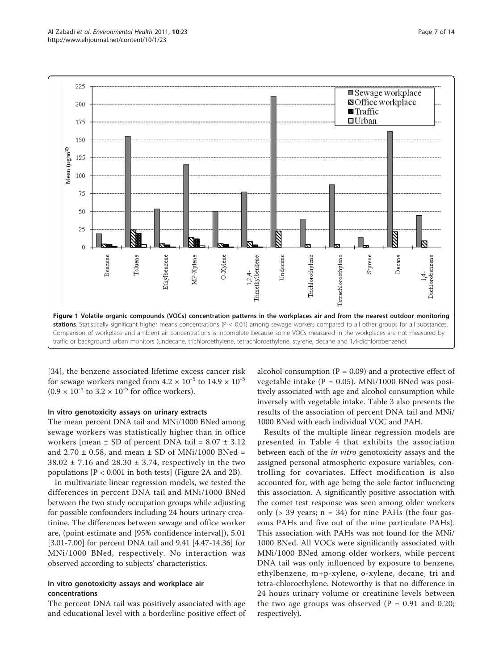<span id="page-6-0"></span>

[[34](#page-13-0)], the benzene associated lifetime excess cancer risk for sewage workers ranged from  $4.2 \times 10^{-5}$  to  $14.9 \times 10^{-5}$  $(0.9 \times 10^{-5}$  to  $3.2 \times 10^{-5}$  for office workers).

#### In vitro genotoxicity assays on urinary extracts

The mean percent DNA tail and MNi/1000 BNed among sewage workers was statistically higher than in office workers [mean  $\pm$  SD of percent DNA tail = 8.07  $\pm$  3.12 and 2.70  $\pm$  0.58, and mean  $\pm$  SD of MNi/1000 BNed =  $38.02 \pm 7.16$  and  $28.30 \pm 3.74$ , respectively in the two populations  $[P < 0.001$  in both tests] (Figure [2A](#page-7-0) and [2B](#page-7-0)).

In multivariate linear regression models, we tested the differences in percent DNA tail and MNi/1000 BNed between the two study occupation groups while adjusting for possible confounders including 24 hours urinary creatinine. The differences between sewage and office worker are, (point estimate and [95% confidence interval]), 5.01 [3.01-7.00] for percent DNA tail and 9.41 [4.47-14.36] for MNi/1000 BNed, respectively. No interaction was observed according to subjects' characteristics.

## In vitro genotoxicity assays and workplace air concentrations

The percent DNA tail was positively associated with age and educational level with a borderline positive effect of

alcohol consumption ( $P = 0.09$ ) and a protective effect of vegetable intake  $(P = 0.05)$ . MNi/1000 BNed was positively associated with age and alcohol consumption while inversely with vegetable intake. Table [3](#page-8-0) also presents the results of the association of percent DNA tail and MNi/ 1000 BNed with each individual VOC and PAH.

Results of the multiple linear regression models are presented in Table [4](#page-9-0) that exhibits the association between each of the *in vitro* genotoxicity assays and the assigned personal atmospheric exposure variables, controlling for covariates. Effect modification is also accounted for, with age being the sole factor influencing this association. A significantly positive association with the comet test response was seen among older workers only ( $>$  39 years; n = 34) for nine PAHs (the four gaseous PAHs and five out of the nine particulate PAHs). This association with PAHs was not found for the MNi/ 1000 BNed. All VOCs were significantly associated with MNi/1000 BNed among older workers, while percent DNA tail was only influenced by exposure to benzene, ethylbenzene, m+p-xylene, o-xylene, decane, tri and tetra-chloroethylene. Noteworthy is that no difference in 24 hours urinary volume or creatinine levels between the two age groups was observed ( $P = 0.91$  and 0.20; respectively).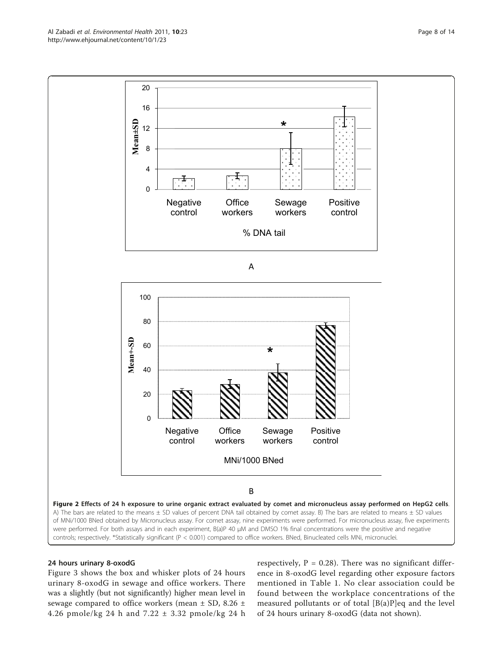<span id="page-7-0"></span>

# 24 hours urinary 8-oxodG

Figure [3](#page-10-0) shows the box and whisker plots of 24 hours urinary 8-oxodG in sewage and office workers. There was a slightly (but not significantly) higher mean level in sewage compared to office workers (mean ± SD, 8.26 ± 4.26 pmole/kg 24 h and 7.22 ± 3.32 pmole/kg 24 h respectively,  $P = 0.28$ ). There was no significant difference in 8-oxodG level regarding other exposure factors mentioned in Table [1](#page-4-0). No clear association could be found between the workplace concentrations of the measured pollutants or of total [B(a)P]eq and the level of 24 hours urinary 8-oxodG (data not shown).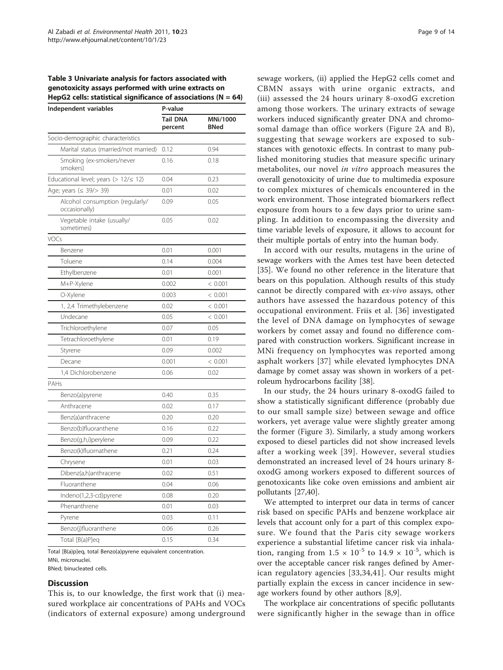#### <span id="page-8-0"></span>Table 3 Univariate analysis for factors associated with genotoxicity assays performed with urine extracts on HepG2 cells: statistical significance of associations ( $N = 64$ )

| Independent variables                            | P-value                    |                         |  |  |
|--------------------------------------------------|----------------------------|-------------------------|--|--|
|                                                  | <b>Tail DNA</b><br>percent | MNi/1000<br><b>BNed</b> |  |  |
| Socio-demographic characteristics                |                            |                         |  |  |
| Marital status (married/not married)             | 0.12                       | 0.94                    |  |  |
| Smoking (ex-smokers/never<br>smokers)            | 0.16                       | 0.18                    |  |  |
| Educational level; years (> $12/\leq 12$ )       | 0.04                       | 0.23                    |  |  |
| Age; years (≤ 39/> 39)                           | 0.01                       | 0.02                    |  |  |
| Alcohol consumption (regularly/<br>occasionally) | 0.09                       | 0.05                    |  |  |
| Vegetable intake (usually/<br>sometimes)         | 0.05                       | 0.02                    |  |  |
| VOCs                                             |                            |                         |  |  |
| Benzene                                          | 0.01                       | 0.001                   |  |  |
| Toluene                                          | 0.14                       | 0.004                   |  |  |
| Ethylbenzene                                     | 0.01                       | 0.001                   |  |  |
| M+P-Xylene                                       | 0.002                      | < 0.001                 |  |  |
| O-Xylene                                         | 0.003                      | < 0.001                 |  |  |
| 1, 2,4 Trimethylebenzene                         | 0.02                       | < 0.001                 |  |  |
| Undecane                                         | 0.05                       | < 0.001                 |  |  |
| Trichloroethylene                                | 0.07                       | 0.05                    |  |  |
| Tetrachloroethylene                              | 0.01                       | 0.19                    |  |  |
| Styrene                                          | 0.09                       | 0.002                   |  |  |
| Decane                                           | 0.001                      | < 0.001                 |  |  |
| 1,4 Dichlorobenzene                              | 0.06                       | 0.02                    |  |  |
| PAHs                                             |                            |                         |  |  |
| Benzo(a)pyrene                                   | 0.40                       | 0.35                    |  |  |
| Anthracene                                       | 0.02                       | 0.17                    |  |  |
| Benz(a)anthracene                                | 0.20                       | 0.20                    |  |  |
| Benzo(b)fluoranthene                             | 0.16                       | 0.22                    |  |  |
| Benzo(g,h,i)perylene                             | 0.09                       | 0.22                    |  |  |
| Benzo(k)fluornathene                             | 0.21                       | 0.24                    |  |  |
| Chrysene                                         | 0.01                       | 0.03                    |  |  |
| Dibenz(a,h)anthracene                            | 0.02                       | 0.51                    |  |  |
| Fluoranthene                                     | 0.04                       | 0.06                    |  |  |
| Indeno(1,2,3-cd)pyrene                           | 0.08                       | 0.20                    |  |  |
| Phenanthrene                                     | 0.01                       | 0.03                    |  |  |
| Pyrene                                           | 0.03                       | 0.11                    |  |  |
| Benzo(j)fluoranthene                             | 0.06                       | 0.26                    |  |  |
| Total [B(a)P]eq                                  | 0.15                       | 0.34                    |  |  |

Total [B(a)p]eq, total Benzo(a)pyrene equivalent concentration. MNi, micronuclei. BNed; binucleated cells.

#### **Discussion**

This is, to our knowledge, the first work that (i) measured workplace air concentrations of PAHs and VOCs (indicators of external exposure) among underground sewage workers, (ii) applied the HepG2 cells comet and CBMN assays with urine organic extracts, and (iii) assessed the 24 hours urinary 8-oxodG excretion among those workers. The urinary extracts of sewage workers induced significantly greater DNA and chromosomal damage than office workers (Figure [2A](#page-7-0) and B), suggesting that sewage workers are exposed to substances with genotoxic effects. In contrast to many published monitoring studies that measure specific urinary metabolites, our novel in vitro approach measures the overall genotoxicity of urine due to multimedia exposure to complex mixtures of chemicals encountered in the work environment. Those integrated biomarkers reflect exposure from hours to a few days prior to urine sampling. In addition to encompassing the diversity and time variable levels of exposure, it allows to account for their multiple portals of entry into the human body.

In accord with our results, mutagens in the urine of sewage workers with the Ames test have been detected [[35\]](#page-13-0). We found no other reference in the literature that bears on this population. Although results of this study cannot be directly compared with ex-vivo assays, other authors have assessed the hazardous potency of this occupational environment. Friis et al. [[36\]](#page-13-0) investigated the level of DNA damage on lymphocytes of sewage workers by comet assay and found no difference compared with construction workers. Significant increase in MNi frequency on lymphocytes was reported among asphalt workers [[37](#page-13-0)] while elevated lymphocytes DNA damage by comet assay was shown in workers of a petroleum hydrocarbons facility [[38\]](#page-13-0).

In our study, the 24 hours urinary 8-oxodG failed to show a statistically significant difference (probably due to our small sample size) between sewage and office workers, yet average value were slightly greater among the former (Figure [3](#page-10-0)). Similarly, a study among workers exposed to diesel particles did not show increased levels after a working week [[39\]](#page-13-0). However, several studies demonstrated an increased level of 24 hours urinary 8 oxodG among workers exposed to different sources of genotoxicants like coke oven emissions and ambient air pollutants [[27](#page-13-0),[40](#page-13-0)].

We attempted to interpret our data in terms of cancer risk based on specific PAHs and benzene workplace air levels that account only for a part of this complex exposure. We found that the Paris city sewage workers experience a substantial lifetime cancer risk via inhalation, ranging from  $1.5 \times 10^{-5}$  to  $14.9 \times 10^{-5}$ , which is over the acceptable cancer risk ranges defined by American regulatory agencies [[33](#page-13-0),[34,41\]](#page-13-0). Our results might partially explain the excess in cancer incidence in sewage workers found by other authors [\[8](#page-12-0),[9](#page-12-0)].

The workplace air concentrations of specific pollutants were significantly higher in the sewage than in office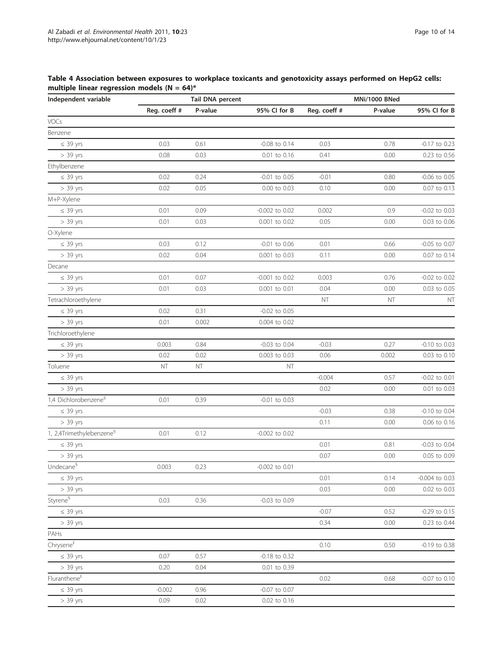<span id="page-9-0"></span>

| Independent variable                 | Tail DNA percent |         |                    | MNi/1000 BNed |         |                   |
|--------------------------------------|------------------|---------|--------------------|---------------|---------|-------------------|
|                                      | Reg. coeff #     | P-value | 95% Cl for B       | Reg. coeff #  | P-value | 95% Cl for B      |
| VOCs                                 |                  |         |                    |               |         |                   |
| Benzene                              |                  |         |                    |               |         |                   |
| $\leq$ 39 yrs                        | 0.03             | 0.61    | $-0.08$ to $0.14$  | 0.03          | 0.78    | -0.17 to 0.23     |
| $> 39$ yrs                           | 0.08             | 0.03    | 0.01 to 0.16       | 0.41          | 0.00    | 0.23 to 0.56      |
| Ethylbenzene                         |                  |         |                    |               |         |                   |
| $\leq$ 39 yrs                        | 0.02             | 0.24    | $-0.01$ to $0.05$  | $-0.01$       | 0.80    | $-0.06$ to $0.05$ |
| $> 39$ yrs                           | 0.02             | 0.05    | 0.00 to 0.03       | 0.10          | 0.00    | 0.07 to 0.13      |
| M+P-Xylene                           |                  |         |                    |               |         |                   |
| $\leq$ 39 yrs                        | 0.01             | 0.09    | -0.002 to 0.02     | 0.002         | 0.9     | $-0.02$ to $0.03$ |
| $> 39$ yrs                           | 0.01             | 0.03    | 0.001 to 0.02      | 0.05          | 0.00    | 0.03 to 0.06      |
| O-Xylene                             |                  |         |                    |               |         |                   |
| $\leq$ 39 yrs                        | 0.03             | 0.12    | $-0.01$ to $0.06$  | 0.01          | 0.66    | $-0.05$ to 0.07   |
| $> 39$ yrs                           | 0.02             | 0.04    | 0.001 to 0.03      | 0.11          | 0.00    | 0.07 to 0.14      |
| Decane                               |                  |         |                    |               |         |                   |
| $\leq$ 39 yrs                        | 0.01             | 0.07    | $-0.001$ to $0.02$ | 0.003         | 0.76    | $-0.02$ to $0.02$ |
| $> 39$ yrs                           | 0.01             | 0.03    | 0.001 to 0.01      | 0.04          | 0.00    | 0.03 to 0.05      |
| Tetrachloroethylene                  |                  |         |                    | NT            | NT      | NT                |
| $\leq 39$ yrs                        | 0.02             | 0.31    | $-0.02$ to $0.05$  |               |         |                   |
| $> 39$ yrs                           | 0.01             | 0.002   | 0.004 to 0.02      |               |         |                   |
| Trichloroethylene                    |                  |         |                    |               |         |                   |
| $\leq$ 39 yrs                        | 0.003            | 0.84    | $-0.03$ to 0.04    | $-0.03$       | 0.27    | $-0.10$ to 0.03   |
| $> 39$ yrs                           | 0.02             | 0.02    | 0.003 to 0.03      | 0.06          | 0.002   | 0.03 to 0.10      |
| Toluene                              | NΤ               | NT      | NT                 |               |         |                   |
| $\leq$ 39 yrs                        |                  |         |                    | $-0.004$      | 0.57    | $-0.02$ to $0.01$ |
| $> 39$ yrs                           |                  |         |                    | 0.02          | 0.00    | 0.01 to 0.03      |
| 1,4 Dichlorobenzene <sup>§</sup>     | 0.01             | 0.39    | $-0.01$ to $0.03$  |               |         |                   |
| $\leq$ 39 yrs                        |                  |         |                    | $-0.03$       | 0.38    | $-0.10$ to $0.04$ |
| $> 39$ yrs                           |                  |         |                    | 0.11          | 0.00    | 0.06 to 0.16      |
| 1, 2,4Trimethylebenzene <sup>§</sup> | 0.01             | 0.12    | $-0.002$ to $0.02$ |               |         |                   |
| $\leq$ 39 yrs                        |                  |         |                    | 0.01          | 0.81    | $-0.03$ to $0.04$ |
| $> 39$ yrs                           |                  |         |                    | 0.07          | 0.00    | 0.05 to 0.09      |
| Undecane <sup>§</sup>                | 0.003            | 0.23    | -0.002 to 0.01     |               |         |                   |
| $\leq 39$ yrs                        |                  |         |                    | 0.01          | 0.14    | $-0.004$ to 0.03  |
| $> 39$ yrs                           |                  |         |                    | 0.03          | 0.00    | 0.02 to 0.03      |
| Styrene <sup>§</sup>                 | 0.03             | 0.36    | $-0.03$ to $0.09$  |               |         |                   |
| $\leq 39$ yrs                        |                  |         |                    | $-0.07$       | 0.52    | $-0.29$ to $0.15$ |
| $> 39$ yrs                           |                  |         |                    | 0.34          | 0.00    | 0.23 to 0.44      |
| PAHs                                 |                  |         |                    |               |         |                   |
| Chrysene $^{\rm \pm}$                |                  |         |                    | 0.10          | 0.50    | -0.19 to 0.38     |
| $\leq 39$ yrs                        | 0.07             | 0.57    | $-0.18$ to 0.32    |               |         |                   |
| $> 39$ yrs                           | 0.20             | 0.04    | 0.01 to 0.39       |               |         |                   |
| Fluranthene $^{\rm \pm}$             |                  |         |                    | 0.02          | 0.68    | -0.07 to 0.10     |
| $\leq$ 39 yrs                        | $-0.002$         | 0.96    | $-0.07$ to 0.07    |               |         |                   |
| $> 39$ yrs                           | 0.09             | 0.02    | 0.02 to 0.16       |               |         |                   |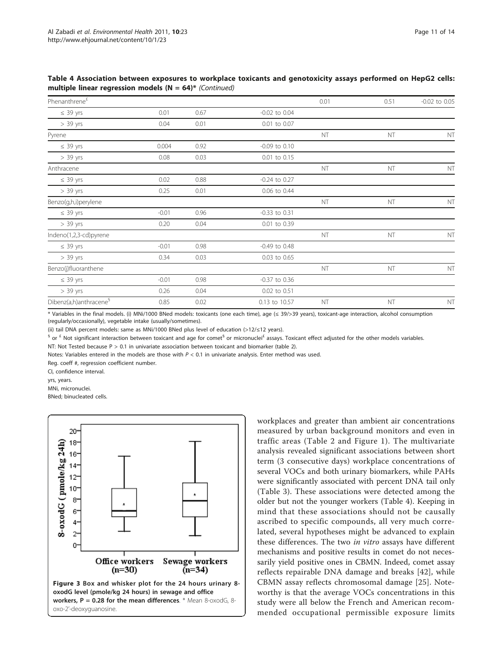<span id="page-10-0"></span>Table 4 Association between exposures to workplace toxicants and genotoxicity assays performed on HepG2 cells: multiple linear regression models ( $N = 64$ )\* (Continued)

| Phenanthrene <sup>£</sup>          |         |      |                   | 0.01      | 0.51 | $-0.02$ to $0.05$ |
|------------------------------------|---------|------|-------------------|-----------|------|-------------------|
| $\leq$ 39 yrs                      | 0.01    | 0.67 | $-0.02$ to $0.04$ |           |      |                   |
| $> 39$ yrs                         | 0.04    | 0.01 | 0.01 to 0.07      |           |      |                   |
| Pyrene                             |         |      |                   | <b>NT</b> | NT   | NT                |
| $\leq$ 39 yrs                      | 0.004   | 0.92 | $-0.09$ to $0.10$ |           |      |                   |
| $> 39$ yrs                         | 0.08    | 0.03 | 0.01 to 0.15      |           |      |                   |
| Anthracene                         |         |      |                   | NT        | NT   | NT                |
| $\leq$ 39 yrs                      | 0.02    | 0.88 | $-0.24$ to 0.27   |           |      |                   |
| $> 39$ yrs                         | 0.25    | 0.01 | 0.06 to 0.44      |           |      |                   |
| Benzo(g,h,i)perylene               |         |      |                   | NT        | NT   | NT                |
| $\leq$ 39 yrs                      | $-0.01$ | 0.96 | $-0.33$ to $0.31$ |           |      |                   |
| $> 39$ yrs                         | 0.20    | 0.04 | 0.01 to 0.39      |           |      |                   |
| Indeno(1,2,3-cd)pyrene             |         |      |                   | NT        | NT   | NT                |
| $\leq$ 39 yrs                      | $-0.01$ | 0.98 | $-0.49$ to $0.48$ |           |      |                   |
| $> 39$ yrs                         | 0.34    | 0.03 | 0.03 to 0.65      |           |      |                   |
| Benzo(j)fluoranthene               |         |      |                   | NT        | NT   | NT                |
| $\leq$ 39 yrs                      | $-0.01$ | 0.98 | $-0.37$ to 0.36   |           |      |                   |
| $> 39$ yrs                         | 0.26    | 0.04 | 0.02 to 0.51      |           |      |                   |
| Dibenz(a,h)anthracene <sup>9</sup> | 0.85    | 0.02 | 0.13 to 10.57     | NT        | NT   | NT                |

\* Variables in the final models. (i) MNi/1000 BNed models: toxicants (one each time), age (≤ 39/>39 years), toxicant-age interaction, alcohol consumption (regularly/occasionally), vegetable intake (usually/sometimes).

(ii) tail DNA percent models: same as MNi/1000 BNed plus level of education (>12/≤12 years).

 $\frac{6}{3}$  or  $\frac{2}{3}$  Not significant interaction between toxicant and age for comet $\frac{6}{3}$  or micronuclei<sup>£</sup> assays. Toxicant effect adjusted for the other models variables.

NT: Not Tested because P > 0.1 in univariate association between toxicant and biomarker (table 2).

Notes: Variables entered in the models are those with  $P < 0.1$  in univariate analysis. Enter method was used.

Reg. coeff #, regression coefficient number.

CI, confidence interval.

yrs, years.

MNi, micronuclei.

BNed; binucleated cells.



workplaces and greater than ambient air concentrations measured by urban background monitors and even in traffic areas (Table [2](#page-5-0) and Figure [1](#page-6-0)). The multivariate analysis revealed significant associations between short term (3 consecutive days) workplace concentrations of several VOCs and both urinary biomarkers, while PAHs were significantly associated with percent DNA tail only (Table [3](#page-8-0)). These associations were detected among the older but not the younger workers (Table [4](#page-9-0)). Keeping in mind that these associations should not be causally ascribed to specific compounds, all very much correlated, several hypotheses might be advanced to explain these differences. The two in vitro assays have different mechanisms and positive results in comet do not necessarily yield positive ones in CBMN. Indeed, comet assay reflects repairable DNA damage and breaks [\[42](#page-13-0)], while CBMN assay reflects chromosomal damage [\[25](#page-13-0)]. Noteworthy is that the average VOCs concentrations in this study were all below the French and American recommended occupational permissible exposure limits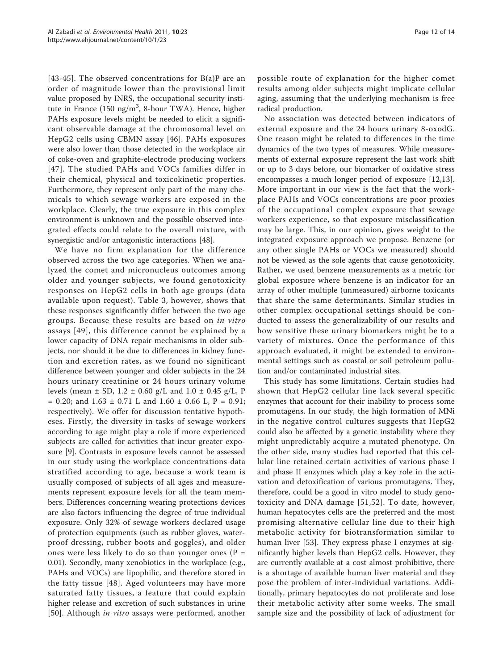[[43](#page-13-0)-[45](#page-13-0)]. The observed concentrations for  $B(a)P$  are an order of magnitude lower than the provisional limit value proposed by INRS, the occupational security institute in France (150 ng/m<sup>3</sup>, 8-hour TWA). Hence, higher PAHs exposure levels might be needed to elicit a significant observable damage at the chromosomal level on HepG2 cells using CBMN assay [[46](#page-13-0)]. PAHs exposures were also lower than those detected in the workplace air of coke-oven and graphite-electrode producing workers [[47\]](#page-13-0). The studied PAHs and VOCs families differ in their chemical, physical and toxicokinetic properties. Furthermore, they represent only part of the many chemicals to which sewage workers are exposed in the workplace. Clearly, the true exposure in this complex environment is unknown and the possible observed integrated effects could relate to the overall mixture, with synergistic and/or antagonistic interactions [\[48](#page-13-0)].

We have no firm explanation for the difference observed across the two age categories. When we analyzed the comet and micronucleus outcomes among older and younger subjects, we found genotoxicity responses on HepG2 cells in both age groups (data available upon request). Table [3,](#page-8-0) however, shows that these responses significantly differ between the two age groups. Because these results are based on in vitro assays [[49](#page-13-0)], this difference cannot be explained by a lower capacity of DNA repair mechanisms in older subjects, nor should it be due to differences in kidney function and excretion rates, as we found no significant difference between younger and older subjects in the 24 hours urinary creatinine or 24 hours urinary volume levels (mean  $\pm$  SD, 1.2  $\pm$  0.60 g/L and 1.0  $\pm$  0.45 g/L, P  $= 0.20$ ; and  $1.63 \pm 0.71$  L and  $1.60 \pm 0.66$  L, P = 0.91; respectively). We offer for discussion tentative hypotheses. Firstly, the diversity in tasks of sewage workers according to age might play a role if more experienced subjects are called for activities that incur greater exposure [\[9](#page-12-0)]. Contrasts in exposure levels cannot be assessed in our study using the workplace concentrations data stratified according to age, because a work team is usually composed of subjects of all ages and measurements represent exposure levels for all the team members. Differences concerning wearing protections devices are also factors influencing the degree of true individual exposure. Only 32% of sewage workers declared usage of protection equipments (such as rubber gloves, waterproof dressing, rubber boots and goggles), and older ones were less likely to do so than younger ones ( $P =$ 0.01). Secondly, many xenobiotics in the workplace (e.g., PAHs and VOCs) are lipophilic, and therefore stored in the fatty tissue [[48](#page-13-0)]. Aged volunteers may have more saturated fatty tissues, a feature that could explain higher release and excretion of such substances in urine [[50](#page-13-0)]. Although *in vitro* assays were performed, another

possible route of explanation for the higher comet results among older subjects might implicate cellular aging, assuming that the underlying mechanism is free radical production.

No association was detected between indicators of external exposure and the 24 hours urinary 8-oxodG. One reason might be related to differences in the time dynamics of the two types of measures. While measurements of external exposure represent the last work shift or up to 3 days before, our biomarker of oxidative stress encompasses a much longer period of exposure [\[12,13](#page-12-0)]. More important in our view is the fact that the workplace PAHs and VOCs concentrations are poor proxies of the occupational complex exposure that sewage workers experience, so that exposure misclassification may be large. This, in our opinion, gives weight to the integrated exposure approach we propose. Benzene (or any other single PAHs or VOCs we measured) should not be viewed as the sole agents that cause genotoxicity. Rather, we used benzene measurements as a metric for global exposure where benzene is an indicator for an array of other multiple (unmeasured) airborne toxicants that share the same determinants. Similar studies in other complex occupational settings should be conducted to assess the generalizability of our results and how sensitive these urinary biomarkers might be to a variety of mixtures. Once the performance of this approach evaluated, it might be extended to environmental settings such as coastal or soil petroleum pollution and/or contaminated industrial sites.

This study has some limitations. Certain studies had shown that HepG2 cellular line lack several specific enzymes that account for their inability to process some promutagens. In our study, the high formation of MNi in the negative control cultures suggests that HepG2 could also be affected by a genetic instability where they might unpredictably acquire a mutated phenotype. On the other side, many studies had reported that this cellular line retained certain activities of various phase I and phase II enzymes which play a key role in the activation and detoxification of various promutagens. They, therefore, could be a good in vitro model to study genotoxicity and DNA damage [[51](#page-13-0),[52](#page-13-0)]. To date, however, human hepatocytes cells are the preferred and the most promising alternative cellular line due to their high metabolic activity for biotransformation similar to human liver [\[53](#page-13-0)]. They express phase I enzymes at significantly higher levels than HepG2 cells. However, they are currently available at a cost almost prohibitive, there is a shortage of available human liver material and they pose the problem of inter-individual variations. Additionally, primary hepatocytes do not proliferate and lose their metabolic activity after some weeks. The small sample size and the possibility of lack of adjustment for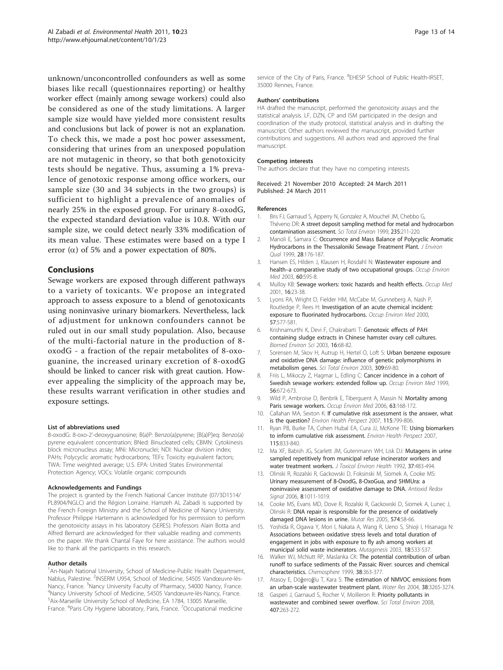<span id="page-12-0"></span>unknown/unconcontrolled confounders as well as some biases like recall (questionnaires reporting) or healthy worker effect (mainly among sewage workers) could also be considered as one of the study limitations. A larger sample size would have yielded more consistent results and conclusions but lack of power is not an explanation. To check this, we made a post hoc power assessment, considering that urines from an unexposed population are not mutagenic in theory, so that both genotoxicity tests should be negative. Thus, assuming a 1% prevalence of genotoxic response among office workers, our sample size (30 and 34 subjects in the two groups) is sufficient to highlight a prevalence of anomalies of nearly 25% in the exposed group. For urinary 8-oxodG, the expected standard deviation value is 10.8. With our sample size, we could detect nearly 33% modification of its mean value. These estimates were based on a type І error  $(\alpha)$  of 5% and a power expectation of 80%.

# Conclusions

Sewage workers are exposed through different pathways to a variety of toxicants. We propose an integrated approach to assess exposure to a blend of genotoxicants using noninvasive urinary biomarkers. Nevertheless, lack of adjustment for unknown confounders cannot be ruled out in our small study population. Also, because of the multi-factorial nature in the production of 8 oxodG - a fraction of the repair metabolites of 8-oxoguanine, the increased urinary excretion of 8-oxodG should be linked to cancer risk with great caution. However appealing the simplicity of the approach may be, these results warrant verification in other studies and exposure settings.

#### List of abbreviations used

8-oxodG: 8-oxo-2'-deoxyguanosine; B(a)P: Benzo(a)pyrene; [B(a)P]eq: Benzo(a) pyrene equivalent concentration; BNed: Binucleated cells; CBMN: Cytokinesis block micronucleus assay; MNi: Micronuclei; NDI: Nuclear division index; PAHs: Polycyclic aromatic hydrocarbons; TEFs: Toxicity equivalent factors; TWA: Time weighted average; U.S. EPA: United States Environmental Protection Agency; VOCs: Volatile organic compounds

#### Acknowledgements and Fundings

The project is granted by the French National Cancer Institute (07/3D1514/ PL8904/NGLC) and the Région Lorraine. Hamzeh AL Zabadi is supported by the French Foreign Ministry and the School of Medicine of Nancy University. Professor Philippe Hartemann is acknowledged for his permission to perform the genotoxicity assays in his laboratory (SERES). Professors Alain Botta and Alfred Bernard are acknowledged for their valuable reading and comments on the paper. We thank Chantal Faye for here assistance. The authors would like to thank all the participants in this research.

#### Author details

<sup>1</sup> An-Najah National University, School of Medicine-Public Health Department, Nablus, Palestine. <sup>2</sup>INSERM U954, School of Medicine, 54505 Vandœuvre-lès-Nancy, France. <sup>3</sup>Nancy University Faculty of Pharmacy, 54000 Nancy, France.<br><sup>4</sup>Napov University School of Medicine, 54505 Vandœuwe lès Napov. France. <sup>1</sup>Nancy University School of Medicine, 54505 Vandœuvre-lès-Nancy, France. <sup>5</sup> Aix-Marseille University School of Medicine, EA 1784, 13005 Marseille, France. <sup>6</sup>Paris City Hygiene laboratory, Paris, France. <sup>7</sup>Occupational medicine

service of the City of Paris, France. <sup>8</sup>EHESP School of Public Health-IRSET, 35000 Rennes, France.

### Authors' contributions

HA drafted the manuscript, performed the genotoxicity assays and the statistical analysis. LF, DZN, CP and ISM participated in the design and coordination of the study protocol, statistical analysis and in drafting the manuscript. Other authors reviewed the manuscript, provided further contributions and suggestions. All authors read and approved the final manuscript.

#### Competing interests

The authors declare that they have no competing interests.

Received: 21 November 2010 Accepted: 24 March 2011 Published: 24 March 2011

#### References

- 1. Bris FJ, Garnaud S, Apperry N, Gonzalez A, Mouchel JM, Chebbo G, Théveno DR: [A street deposit sampling method for metal and hydrocarbon](http://www.ncbi.nlm.nih.gov/pubmed/10535121?dopt=Abstract) [contamination assessment.](http://www.ncbi.nlm.nih.gov/pubmed/10535121?dopt=Abstract) Sci Total Environ 1999, 235:211-220.
- 2. Manoli E, Samara C: Occurrence and Mass Balance of Polycyclic Aromatic Hydrocarbons in the Thessaloniki Sewage Treatment Plant. J Environ Qual 1999, 28:176-187.
- 3. Hansen ES, Hilden J, Klausen H, Rosdahl N: [Wastewater exposure and](http://www.ncbi.nlm.nih.gov/pubmed/12883021?dopt=Abstract) health-[a comparative study of two occupational groups.](http://www.ncbi.nlm.nih.gov/pubmed/12883021?dopt=Abstract) Occup Environ Med 2003, 60:595-8.
- 4. Mulloy KB: [Sewage workers: toxic hazards and health effects.](http://www.ncbi.nlm.nih.gov/pubmed/11107222?dopt=Abstract) Occup Med 2001, 16:23-38.
- 5. Lyons RA, Wright D, Fielder HM, McCabe M, Gunneberg A, Nash P, Routledge P, Rees H: [Investigation of an acute chemical incident:](http://www.ncbi.nlm.nih.gov/pubmed/10935937?dopt=Abstract) [exposure to fluorinated hydrocarbons.](http://www.ncbi.nlm.nih.gov/pubmed/10935937?dopt=Abstract) Occup Environ Med 2000, 57:577-581.
- 6. Krishnamurthi K, Devi F, Chakrabarti T: [Genotoxic effects of PAH](http://www.ncbi.nlm.nih.gov/pubmed/12747010?dopt=Abstract) [containing sludge extracts in Chinese hamster ovary cell cultures.](http://www.ncbi.nlm.nih.gov/pubmed/12747010?dopt=Abstract) Biomed Environ Sci 2003, 16:68-82.
- 7. Sorensen M, Skov H, Autrup H, Hertel O, Loft S: [Urban benzene exposure](http://www.ncbi.nlm.nih.gov/pubmed/12798093?dopt=Abstract) [and oxidative DNA damage: influence of genetic polymorphisms in](http://www.ncbi.nlm.nih.gov/pubmed/12798093?dopt=Abstract) [metabolism genes.](http://www.ncbi.nlm.nih.gov/pubmed/12798093?dopt=Abstract) Sci Total Environ 2003, 309:69-80.
- 8. Friis L, Mikoczy Z, Hagmar L, Edling C: [Cancer incidence in a cohort of](http://www.ncbi.nlm.nih.gov/pubmed/10658545?dopt=Abstract) [Swedish sewage workers: extended follow up.](http://www.ncbi.nlm.nih.gov/pubmed/10658545?dopt=Abstract) Occup Environ Med 1999, 56:672-673.
- 9. Wild P, Ambroise D, Benbrik E, Tiberguent A, Massin N: [Mortality among](http://www.ncbi.nlm.nih.gov/pubmed/16497857?dopt=Abstract) [Paris sewage workers.](http://www.ncbi.nlm.nih.gov/pubmed/16497857?dopt=Abstract) Occup Environ Med 2006, 63:168-172.
- 10. Callahan MA, Sexton K: [If cumulative risk assessment is the answer, what](http://www.ncbi.nlm.nih.gov/pubmed/17520071?dopt=Abstract) [is the question?](http://www.ncbi.nlm.nih.gov/pubmed/17520071?dopt=Abstract) Environ Health Perspect 2007, 115:799-806.
- 11. Ryan PB, Burke TA, Cohen Hubal EA, Cura JJ, McKone TE: [Using biomarkers](http://www.ncbi.nlm.nih.gov/pubmed/17520075?dopt=Abstract) [to inform cumulative risk assessment.](http://www.ncbi.nlm.nih.gov/pubmed/17520075?dopt=Abstract) Environ Health Perspect 2007, 115:833-840.
- 12. Ma XF, Babish JG, Scarlett JM, Gutenmann WH, Lisk DJ: [Mutagens in urine](http://www.ncbi.nlm.nih.gov/pubmed/1464904?dopt=Abstract) [sampled repetitively from municipal refuse incinerator workers and](http://www.ncbi.nlm.nih.gov/pubmed/1464904?dopt=Abstract) [water treatment workers.](http://www.ncbi.nlm.nih.gov/pubmed/1464904?dopt=Abstract) J Toxicol Environ Health 1992, 37:483-494.
- 13. Olinski R, Rozalski R, Gackowski D, Foksinski M, Siomek A, Cooke MS: [Urinary measurement of 8-OxodG, 8-OxoGua, and 5HMUra: a](http://www.ncbi.nlm.nih.gov/pubmed/16771691?dopt=Abstract) [noninvasive assessment of oxidative damage to DNA.](http://www.ncbi.nlm.nih.gov/pubmed/16771691?dopt=Abstract) Antioxid Redox Signal 2006, 8:1011-1019.
- 14. Cooke MS, Evans MD, Dove R, Rozalski R, Gackowski D, Siomek A, Lunec J, Olinski R: [DNA repair is responsible for the presence of oxidatively](http://www.ncbi.nlm.nih.gov/pubmed/15914207?dopt=Abstract) [damaged DNA lesions in urine.](http://www.ncbi.nlm.nih.gov/pubmed/15914207?dopt=Abstract) Mutat Res 2005, 574:58-66.
- Yoshida R, Ogawa Y, Mori I, Nakata A, Wang R, Ueno S, Shioji I, Hisanaga N: [Associations between oxidative stress levels and total duration of](http://www.ncbi.nlm.nih.gov/pubmed/14614189?dopt=Abstract) [engagement in jobs with exposure to fly ash among workers at](http://www.ncbi.nlm.nih.gov/pubmed/14614189?dopt=Abstract) [municipal solid waste incinerators.](http://www.ncbi.nlm.nih.gov/pubmed/14614189?dopt=Abstract) Mutagenesis 2003, 18:533-537.
- 16. Walker WJ, McNutt RP, Maslanka CK: [The potential contribution of urban](http://www.ncbi.nlm.nih.gov/pubmed/10901661?dopt=Abstract) [runoff to surface sediments of the Passaic River: sources and chemical](http://www.ncbi.nlm.nih.gov/pubmed/10901661?dopt=Abstract) [characteristics.](http://www.ncbi.nlm.nih.gov/pubmed/10901661?dopt=Abstract) Chemosphere 1999, 38:363-377.
- 17. Atasoy E, Döğeroğlu T, Kara S: [The estimation of NMVOC emissions from](http://www.ncbi.nlm.nih.gov/pubmed/15276743?dopt=Abstract) [an urban-scale wastewater treatment plant.](http://www.ncbi.nlm.nih.gov/pubmed/15276743?dopt=Abstract) Water Res 2004, 38:3265-3274.
- 18. Gasperi J, Garnaud S, Rocher V, Moilleron R: [Priority pollutants in](http://www.ncbi.nlm.nih.gov/pubmed/18814902?dopt=Abstract) [wastewater and combined sewer overflow.](http://www.ncbi.nlm.nih.gov/pubmed/18814902?dopt=Abstract) Sci Total Environ 2008, 407:263-272.